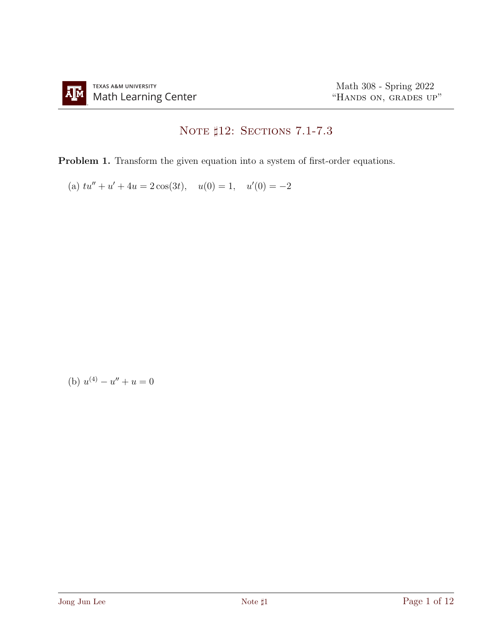## NOTE  $\sharp 12:$  Sections 7.1-7.3

Problem 1. Transform the given equation into a system of first-order equations.

(a)  $tu'' + u' + 4u = 2\cos(3t), \quad u(0) = 1, \quad u'(0) = -2$ 

(b) 
$$
u^{(4)} - u'' + u = 0
$$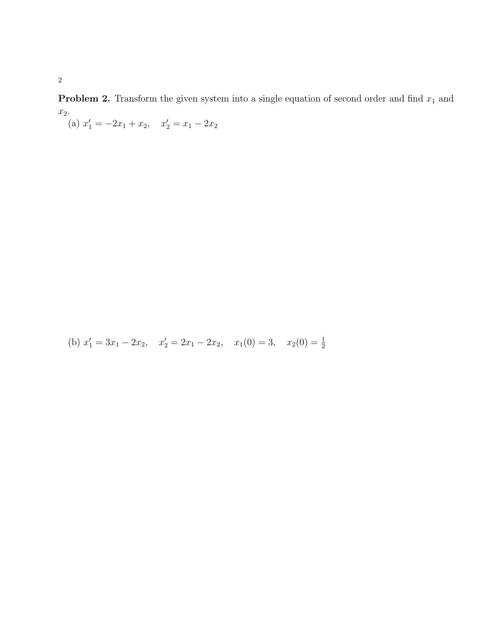**Problem 2.** Transform the given system into a single equation of second order and find  $x_1$  and  $x_2$ .

(a)  $x'_1 = -2x_1 + x_2$ ,  $x'_2 = x_1 - 2x_2$ 

(b) 
$$
x'_1 = 3x_1 - 2x_2
$$
,  $x'_2 = 2x_1 - 2x_2$ ,  $x_1(0) = 3$ ,  $x_2(0) = \frac{1}{2}$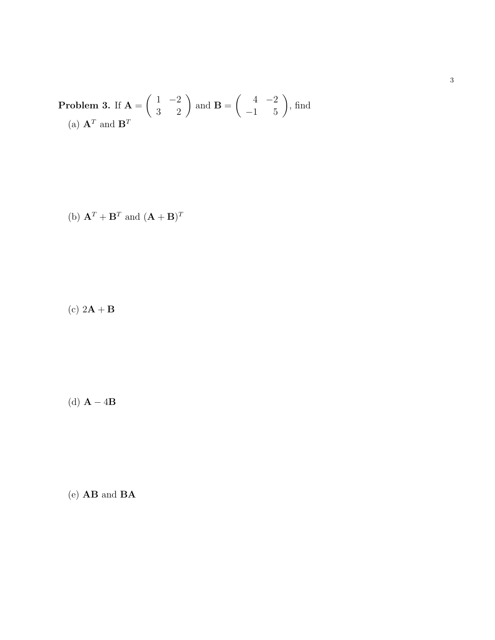**Problem 3.** If 
$$
\mathbf{A} = \begin{pmatrix} 1 & -2 \ 3 & 2 \end{pmatrix}
$$
 and  $\mathbf{B} = \begin{pmatrix} 4 & -2 \ -1 & 5 \end{pmatrix}$ , find  
(a)  $\mathbf{A}^T$  and  $\mathbf{B}^T$ 

(b) 
$$
\mathbf{A}^T + \mathbf{B}^T
$$
 and  $(\mathbf{A} + \mathbf{B})^T$ 

(c)  $2\mathbf{A} + \mathbf{B}$ 

(d)  $\mathbf{A} - 4\mathbf{B}$ 

(e) AB and BA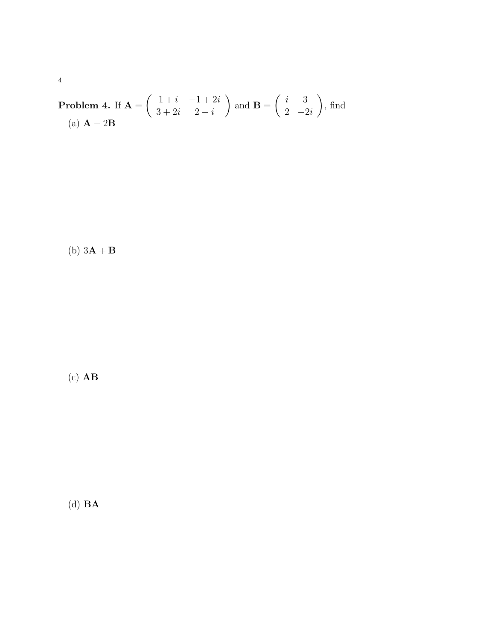**Problem 4.** If 
$$
\mathbf{A} = \begin{pmatrix} 1+i & -1+2i \\ 3+2i & 2-i \end{pmatrix}
$$
 and  $\mathbf{B} = \begin{pmatrix} i & 3 \\ 2 & -2i \end{pmatrix}$ , find  
(a)  $\mathbf{A} - 2\mathbf{B}$ 

(b)  $3\mathbf{A} + \mathbf{B}$ 

 $(c)$   $AB$ 

(d)  $\mathbf{BA}$ 

 $\sqrt{4}$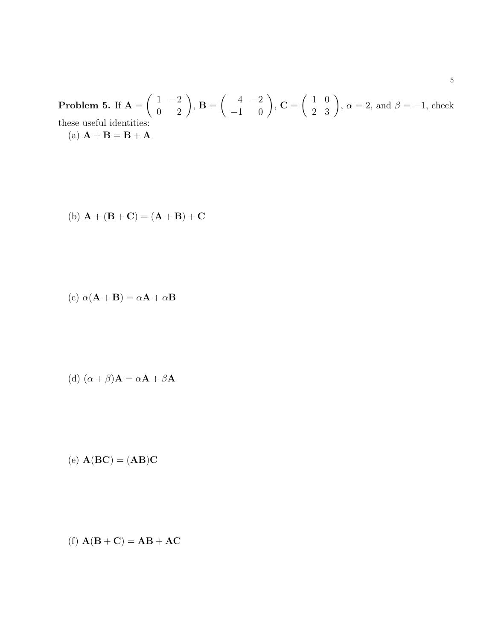Problem 5. If  $A =$  $\left(\begin{array}{cc} 1 & -2 \\ 0 & 2 \end{array}\right)$ , **B** =  $\begin{pmatrix} 4 & -2 \\ -1 & 0 \end{pmatrix}$ , **C** =  $\begin{pmatrix} 1 & 0 \\ 2 & 3 \end{pmatrix}$ ,  $\alpha = 2$ , and  $\beta = -1$ , check these useful identities: (a)  ${\bf A} + {\bf B} = {\bf B} + {\bf A}$ 

(b) 
$$
A + (B + C) = (A + B) + C
$$

(c) 
$$
\alpha(\mathbf{A} + \mathbf{B}) = \alpha \mathbf{A} + \alpha \mathbf{B}
$$

(d) 
$$
(\alpha + \beta)A = \alpha A + \beta A
$$

$$
(e) A(BC) = (AB)C
$$

$$
(f) \mathbf{A}(\mathbf{B} + \mathbf{C}) = \mathbf{A}\mathbf{B} + \mathbf{A}\mathbf{C}
$$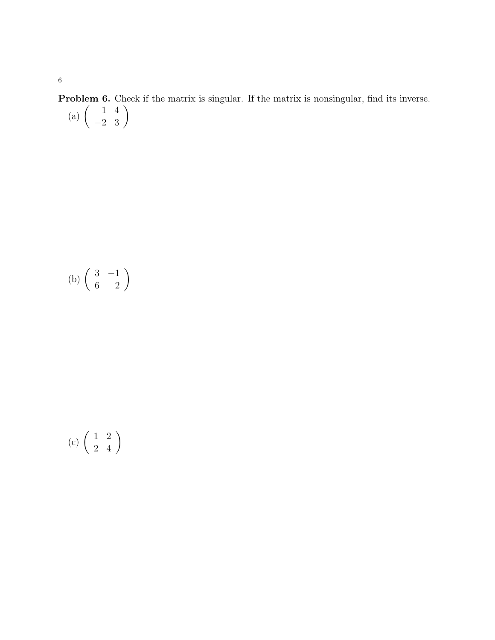**Problem 6.** Check if the matrix is singular. If the matrix is nonsingular, find its inverse. (a)  $\begin{pmatrix} 1 & 4 \\ -2 & 3 \end{pmatrix}$ 

$$
(b) \left(\begin{array}{cc} 3 & -1 \\ 6 & 2 \end{array}\right)
$$

$$
(c)\,\left(\begin{array}{cc}1&2\\2&4\end{array}\right)
$$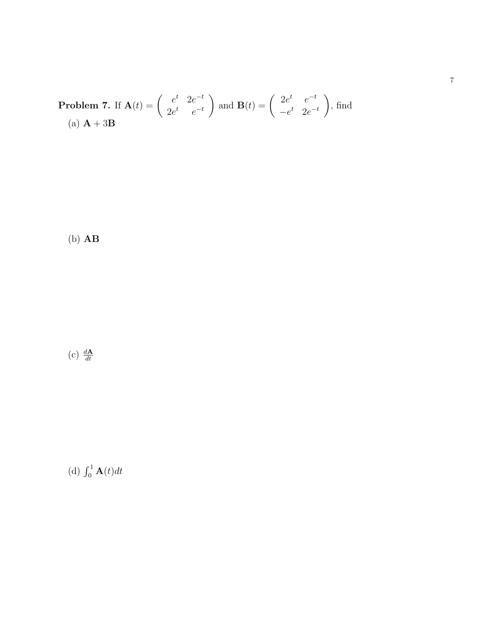**Problem 7.** If 
$$
\mathbf{A}(t) = \begin{pmatrix} e^t & 2e^{-t} \ 2e^t & e^{-t} \end{pmatrix}
$$
 and  $\mathbf{B}(t) = \begin{pmatrix} 2e^t & e^{-t} \ -e^t & 2e^{-t} \end{pmatrix}$ , find  
(a)  $\mathbf{A} + 3\mathbf{B}$ 

(b) AB

(c)  $\frac{d\mathbf{A}}{dt}$ 

(d)  $\int_0^1 \mathbf{A}(t) dt$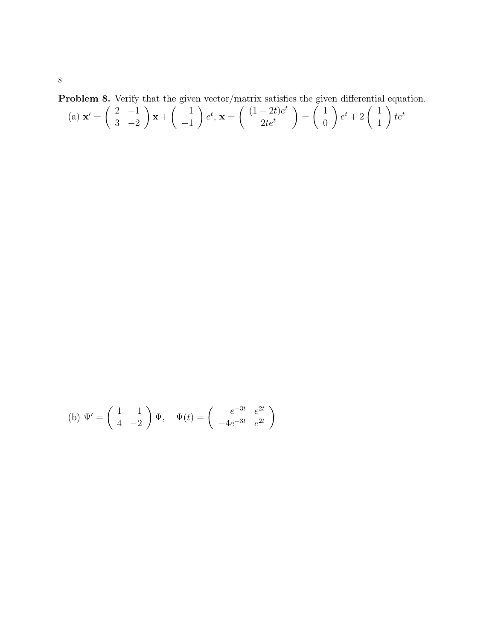Problem 8. Verify that the given vector/matrix satisfies the given differential equation.

(a) 
$$
\mathbf{x}' = \begin{pmatrix} 2 & -1 \\ 3 & -2 \end{pmatrix} \mathbf{x} + \begin{pmatrix} 1 \\ -1 \end{pmatrix} e^t, \mathbf{x} = \begin{pmatrix} (1+2t)e^t \\ 2te^t \end{pmatrix} = \begin{pmatrix} 1 \\ 0 \end{pmatrix} e^t + 2 \begin{pmatrix} 1 \\ 1 \end{pmatrix} te^t
$$

(b) 
$$
\Psi' = \begin{pmatrix} 1 & 1 \\ 4 & -2 \end{pmatrix} \Psi
$$
,  $\Psi(t) = \begin{pmatrix} e^{-3t} & e^{2t} \\ -4e^{-3t} & e^{2t} \end{pmatrix}$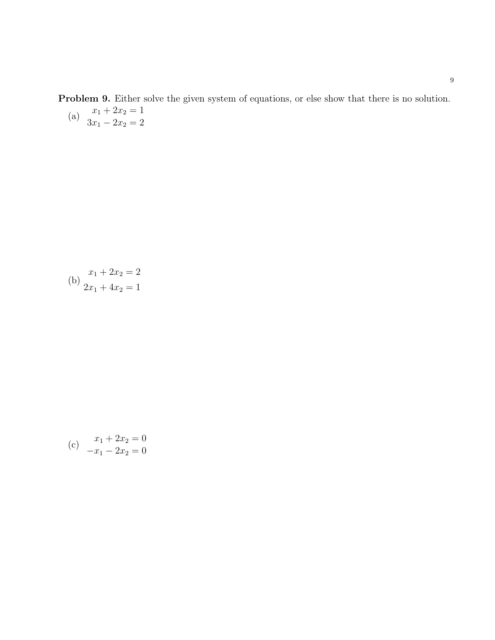Problem 9. Either solve the given system of equations, or else show that there is no solution. (a)  $x_1 + 2x_2 = 1$  $3x_1 - 2x_2 = 2$ 

(b) 
$$
\begin{aligned} x_1 + 2x_2 &= 2 \\ 2x_1 + 4x_2 &= 1 \end{aligned}
$$

(c) 
$$
x_1 + 2x_2 = 0
$$

$$
-x_1 - 2x_2 = 0
$$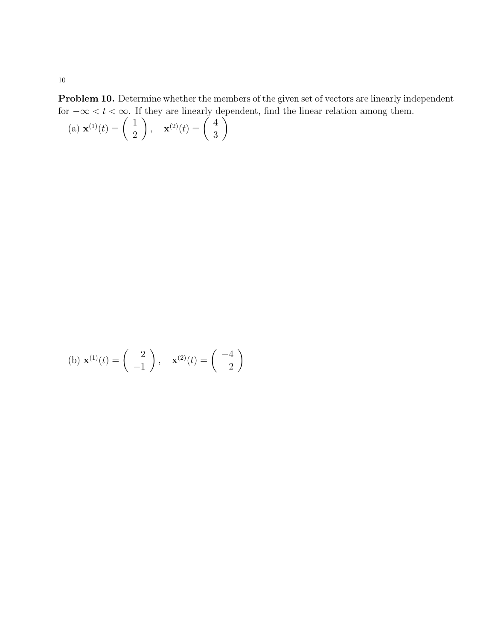Problem 10. Determine whether the members of the given set of vectors are linearly independent for  $-\infty < t < \infty$ . If they are linearly dependent, find the linear relation among them.

(a) 
$$
\mathbf{x}^{(1)}(t) = \begin{pmatrix} 1 \\ 2 \end{pmatrix}, \quad \mathbf{x}^{(2)}(t) = \begin{pmatrix} 4 \\ 3 \end{pmatrix}
$$

(b) 
$$
\mathbf{x}^{(1)}(t) = \begin{pmatrix} 2 \\ -1 \end{pmatrix}, \quad \mathbf{x}^{(2)}(t) = \begin{pmatrix} -4 \\ 2 \end{pmatrix}
$$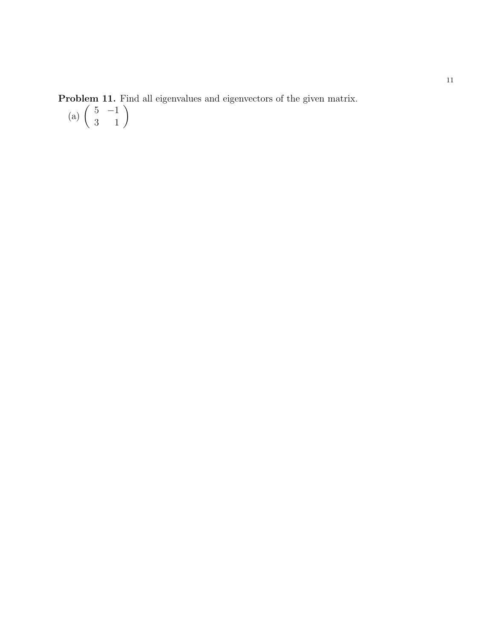**Problem 11.** Find all eigenvalues and eigenvectors of the given matrix.

(a)  $\begin{pmatrix} 5 & -1 \\ 3 & 1 \end{pmatrix}$